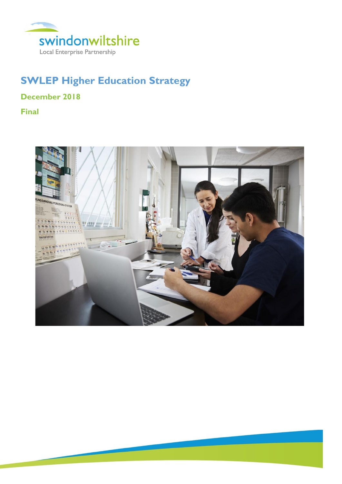

# **SWLEP Higher Education Strategy**

**December 2018**

**Final**

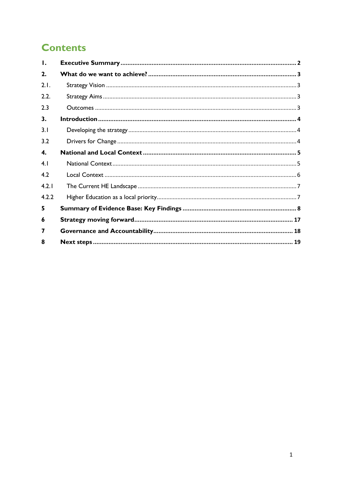# **Contents**

| Ι.    |  |  |
|-------|--|--|
| 2.    |  |  |
| 2.1.  |  |  |
| 2.2.  |  |  |
| 2.3   |  |  |
| 3.    |  |  |
| 3.1   |  |  |
| 3.2   |  |  |
| 4.    |  |  |
| 4.1   |  |  |
| 4.2   |  |  |
| 4.2.1 |  |  |
| 4.2.2 |  |  |
| 5     |  |  |
| 6     |  |  |
| 7     |  |  |
| 8     |  |  |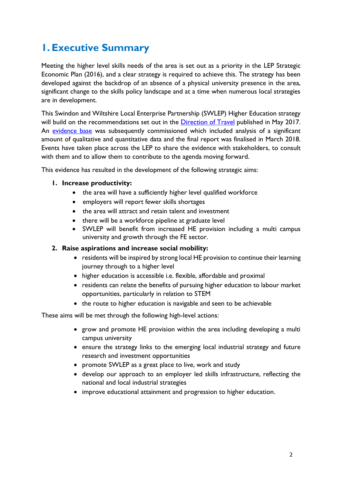# <span id="page-2-0"></span>**1. Executive Summary**

Meeting the higher level skills needs of the area is set out as a priority in the LEP Strategic Economic Plan (2016), and a clear strategy is required to achieve this. The strategy has been developed against the backdrop of an absence of a physical university presence in the area, significant change to the skills policy landscape and at a time when numerous local strategies are in development.

This Swindon and Wiltshire Local Enterprise Partnership (SWLEP) Higher Education strategy will build on the recommendations set out in the **Direction of Travel** published in May 2017. An [evidence base](https://swlep.co.uk/docs/default-source/strategy/economic-priorities/higher-education-draft-strategy-evidence-base---april-2018.pdf?sfvrsn=6bc84124_4) was subsequently commissioned which included analysis of a significant amount of qualitative and quantitative data and the final report was finalised in March 2018. Events have taken place across the LEP to share the evidence with stakeholders, to consult with them and to allow them to contribute to the agenda moving forward.

This evidence has resulted in the development of the following strategic aims:

#### **1. Increase productivity:**

- the area will have a sufficiently higher level qualified workforce
- employers will report fewer skills shortages
- the area will attract and retain talent and investment
- there will be a workforce pipeline at graduate level
- SWLEP will benefit from increased HE provision including a multi campus university and growth through the FE sector.

#### **2. Raise aspirations and increase social mobility:**

- residents will be inspired by strong local HE provision to continue their learning journey through to a higher level
- higher education is accessible i.e. flexible, affordable and proximal
- residents can relate the benefits of pursuing higher education to labour market opportunities, particularly in relation to STEM
- the route to higher education is navigable and seen to be achievable

These aims will be met through the following high-level actions:

- grow and promote HE provision within the area including developing a multi campus university
- ensure the strategy links to the emerging local industrial strategy and future research and investment opportunities
- promote SWLEP as a great place to live, work and study
- develop our approach to an employer led skills infrastructure, reflecting the national and local industrial strategies
- improve educational attainment and progression to higher education.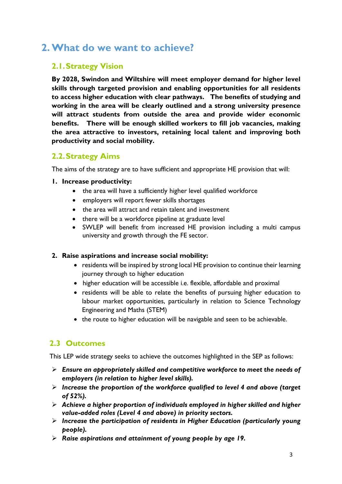# <span id="page-3-0"></span>**2.What do we want to achieve?**

# <span id="page-3-1"></span>**2.1.Strategy Vision**

**By 2028, Swindon and Wiltshire will meet employer demand for higher level skills through targeted provision and enabling opportunities for all residents to access higher education with clear pathways. The benefits of studying and working in the area will be clearly outlined and a strong university presence will attract students from outside the area and provide wider economic benefits. There will be enough skilled workers to fill job vacancies, making the area attractive to investors, retaining local talent and improving both productivity and social mobility.** 

# <span id="page-3-2"></span>**2.2.Strategy Aims**

The aims of the strategy are to have sufficient and appropriate HE provision that will:

#### **1. Increase productivity:**

- the area will have a sufficiently higher level qualified workforce
- employers will report fewer skills shortages
- the area will attract and retain talent and investment
- there will be a workforce pipeline at graduate level
- SWLEP will benefit from increased HE provision including a multi campus university and growth through the FE sector.

### **2. Raise aspirations and increase social mobility:**

- residents will be inspired by strong local HE provision to continue their learning journey through to higher education
- higher education will be accessible i.e. flexible, affordable and proximal
- residents will be able to relate the benefits of pursuing higher education to labour market opportunities, particularly in relation to Science Technology Engineering and Maths (STEM)
- the route to higher education will be navigable and seen to be achievable.

## <span id="page-3-3"></span>**2.3 Outcomes**

This LEP wide strategy seeks to achieve the outcomes highlighted in the SEP as follows:

- ➢ *Ensure an appropriately skilled and competitive workforce to meet the needs of employers (in relation to higher level skills).*
- ➢ *Increase the proportion of the workforce qualified to level 4 and above (target of 52%).*
- ➢ *Achieve a higher proportion of individuals employed in higher skilled and higher value-added roles (Level 4 and above) in priority sectors.*
- ➢ *Increase the participation of residents in Higher Education (particularly young people).*
- ➢ *Raise aspirations and attainment of young people by age 19.*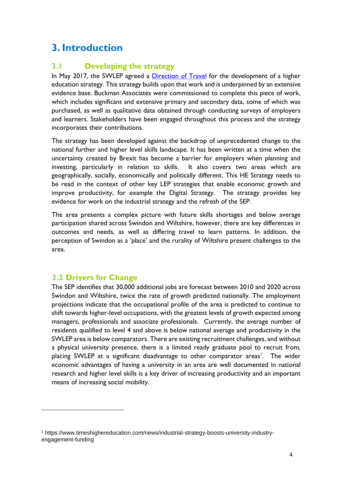# <span id="page-4-0"></span>**3. Introduction**

# <span id="page-4-1"></span>**3.1 Developing the strategy**

In May 2017, the SWLEP agreed a [Direction of Travel](https://swlep.co.uk/docs/default-source/strategy/economic-priorities/higher-education-strategy-direction-of-travel-may-2017.pdf?sfvrsn=5da34965_2) for the development of a higher education strategy. This strategy builds upon that work and is underpinned by an extensive evidence base. Buckman Associates were commissioned to complete this piece of work, which includes significant and extensive primary and secondary data, some of which was purchased, as well as qualitative data obtained through conducting surveys of employers and learners. Stakeholders have been engaged throughout this process and the strategy incorporates their contributions.

The strategy has been developed against the backdrop of unprecedented change to the national further and higher level skills landscape. It has been written at a time when the uncertainty created by Brexit has become a barrier for employers when planning and investing, particularly in relation to skills. It also covers two areas which are geographically, socially, economically and politically different. This HE Strategy needs to be read in the context of other key LEP strategies that enable economic growth and improve productivity, for example the Digital Strategy. The strategy provides key evidence for work on the industrial strategy and the refresh of the SEP.

The area presents a complex picture with future skills shortages and below average participation shared across Swindon and Wiltshire, however, there are key differences in outcomes and needs, as well as differing travel to learn patterns. In addition, the perception of Swindon as a 'place' and the rurality of Wiltshire present challenges to the area.

## <span id="page-4-2"></span>**3.2 Drivers for Change**

The SEP identifies that 30,000 additional jobs are forecast between 2010 and 2020 across Swindon and Wiltshire, twice the rate of growth predicted nationally. The employment projections indicate that the occupational profile of the area is predicted to continue to shift towards higher-level occupations, with the greatest levels of growth expected among managers, professionals and associate professionals. Currently, the average number of residents qualified to level 4 and above is below national average and productivity in the SWLEP area is below comparators. There are existing recruitment challenges, and without a physical university presence, there is a limited ready graduate pool to recruit from, placing SWLEP at a significant disadvantage to other comparator areas<sup>1</sup>. The wider economic advantages of having a university in an area are well documented in national research and higher level skills is a key driver of increasing productivity and an important means of increasing social mobility.

<sup>1</sup> https://www.timeshighereducation.com/news/industrial-strategy-boosts-university-industryengagement-funding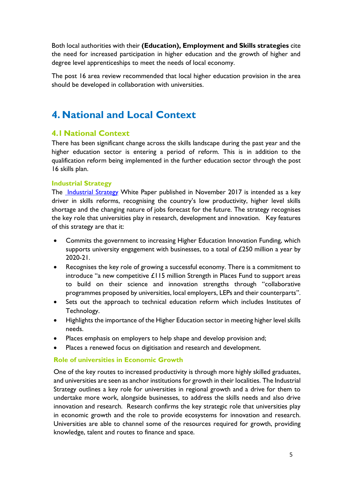Both local authorities with their **(Education), Employment and Skills strategies** cite the need for increased participation in higher education and the growth of higher and degree level apprenticeships to meet the needs of local economy.

The post 16 area review recommended that local higher education provision in the area should be developed in collaboration with universities.

# <span id="page-5-0"></span>**4. National and Local Context**

### <span id="page-5-1"></span>**4.1National Context**

There has been significant change across the skills landscape during the past year and the higher education sector is entering a period of reform. This is in addition to the qualification reform being implemented in the further education sector through the post 16 skills plan.

#### **Industrial Strategy**

The [Industrial Strategy](https://www.gov.uk/government/uploads/system/uploads/attachment_data/file/664563/industrial-strategy-white-paper-web-ready-version.pdf) White Paper published in November 2017 is intended as a key driver in skills reforms, recognising the country's low productivity, higher level skills shortage and the changing nature of jobs forecast for the future. The strategy recognises the key role that universities play in research, development and innovation. Key features of this strategy are that it:

- Commits the government to increasing Higher Education Innovation Funding, which supports university engagement with businesses, to a total of £250 million a year by 2020-21.
- Recognises the key role of growing a successful economy. There is a commitment to introduce "a new competitive  $£115$  million Strength in Places Fund to support areas to build on their science and innovation strengths through "collaborative programmes proposed by universities, local employers, LEPs and their counterparts".
- Sets out the approach to technical education reform which includes Institutes of Technology.
- Highlights the importance of the Higher Education sector in meeting higher level skills needs.
- Places emphasis on employers to help shape and develop provision and;
- Places a renewed focus on digitisation and research and development.

#### **Role of universities in Economic Growth**

One of the key routes to increased productivity is through more highly skilled graduates, and universities are seen as anchor institutions for growth in their localities. The Industrial Strategy outlines a key role for universities in regional growth and a drive for them to undertake more work, alongside businesses, to address the skills needs and also drive innovation and research. Research confirms the key strategic role that universities play in economic growth and the role to provide ecosystems for innovation and research. Universities are able to channel some of the resources required for growth, providing knowledge, talent and routes to finance and space.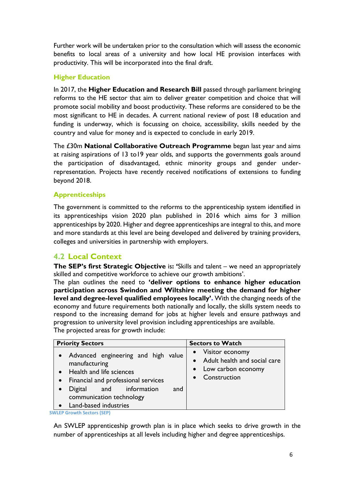Further work will be undertaken prior to the consultation which will assess the economic benefits to local areas of a university and how local HE provision interfaces with productivity. This will be incorporated into the final draft.

### **Higher Education**

In 2017, the **Higher Education and Research Bill** passed through parliament bringing reforms to the HE sector that aim to deliver greater competition and choice that will promote social mobility and boost productivity. These reforms are considered to be the most significant to HE in decades. A current national review of post 18 education and funding is underway, which is focussing on choice, accessibility, skills needed by the country and value for money and is expected to conclude in early 2019.

The £30m **National Collaborative Outreach Programme** began last year and aims at raising aspirations of 13 to19 year olds, and supports the governments goals around the participation of disadvantaged, ethnic minority groups and gender underrepresentation. Projects have recently received notifications of extensions to funding beyond 2018.

#### **Apprenticeships**

The government is committed to the reforms to the apprenticeship system identified in its apprenticeships vision 2020 plan published in 2016 which aims for 3 million apprenticeships by 2020. Higher and degree apprenticeships are integral to this, and more and more standards at this level are being developed and delivered by training providers, colleges and universities in partnership with employers.

## <span id="page-6-0"></span>**4.2 Local Context**

**The SEP's first Strategic Objective** is**: '**Skills and talent – we need an appropriately skilled and competitive workforce to achieve our growth ambitions'.

The plan outlines the need to **'deliver options to enhance higher education participation across Swindon and Wiltshire meeting the demand for higher level and degree-level qualified employees locally'.** With the changing needs of the economy and future requirements both nationally and locally, the skills system needs to respond to the increasing demand for jobs at higher levels and ensure pathways and progression to university level provision including apprenticeships are available. The projected areas for growth include:

| <b>Priority Sectors</b>                                                                                                                                                                                        | <b>Sectors to Watch</b>                                                                                |
|----------------------------------------------------------------------------------------------------------------------------------------------------------------------------------------------------------------|--------------------------------------------------------------------------------------------------------|
| Advanced engineering and high value<br>manufacturing<br>Health and life sciences<br>Financial and professional services<br>Digital and information<br>and<br>communication technology<br>Land-based industries | • Visitor economy<br>• Adult health and social care<br>Low carbon economy<br>$\bullet$<br>Construction |

**SWLEP Growth Sectors (SEP)** 

An SWLEP apprenticeship growth plan is in place which seeks to drive growth in the number of apprenticeships at all levels including higher and degree apprenticeships.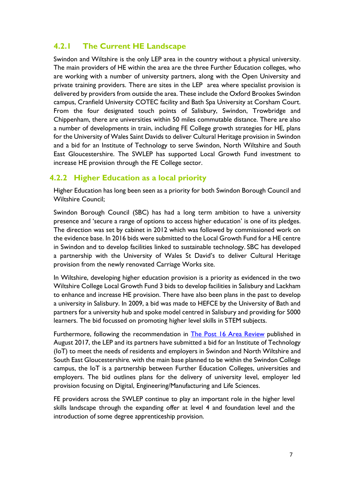# <span id="page-7-0"></span>**4.2.1 The Current HE Landscape**

Swindon and Wiltshire is the only LEP area in the country without a physical university. The main providers of HE within the area are the three Further Education colleges, who are working with a number of university partners, along with the Open University and private training providers. There are sites in the LEP area where specialist provision is delivered by providers from outside the area. These include the Oxford Brookes Swindon campus, Cranfield University COTEC facility and Bath Spa University at Corsham Court. From the four designated touch points of Salisbury, Swindon, Trowbridge and Chippenham, there are universities within 50 miles commutable distance. There are also a number of developments in train, including FE College growth strategies for HE, plans for the University of Wales Saint Davids to deliver Cultural Heritage provision in Swindon and a bid for an Institute of Technology to serve Swindon, North Wiltshire and South East Gloucestershire. The SWLEP has supported Local Growth Fund investment to increase HE provision through the FE College sector.

### <span id="page-7-1"></span>**4.2.2 Higher Education as a local priority**

Higher Education has long been seen as a priority for both Swindon Borough Council and Wiltshire Council;

Swindon Borough Council (SBC) has had a long term ambition to have a university presence and 'secure a range of options to access higher education' is one of its pledges. The direction was set by cabinet in 2012 which was followed by commissioned work on the evidence base. In 2016 bids were submitted to the Local Growth Fund for a HE centre in Swindon and to develop facilities linked to sustainable technology. SBC has developed a partnership with the University of Wales St David's to deliver Cultural Heritage provision from the newly renovated Carriage Works site.

In Wiltshire, developing higher education provision is a priority as evidenced in the two Wiltshire College Local Growth Fund 3 bids to develop facilities in Salisbury and Lackham to enhance and increase HE provision. There have also been plans in the past to develop a university in Salisbury. In 2009, a bid was made to HEFCE by the University of Bath and partners for a university hub and spoke model centred in Salisbury and providing for 5000 learners. The bid focussed on promoting higher level skills in STEM subjects.

Furthermore, following the recommendation in [The Post 16 Area Review](https://www.gov.uk/government/publications/gloucestershire-swindon-and-wiltshire-fe-area-review) published in August 2017, the LEP and its partners have submitted a bid for an Institute of Technology (IoT) to meet the needs of residents and employers in Swindon and North Wiltshire and South East Gloucestershire*.* with the main base planned to be within the Swindon College campus, the IoT is a partnership between Further Education Colleges, universities and employers. The bid outlines plans for the delivery of university level, employer led provision focusing on Digital, Engineering/Manufacturing and Life Sciences.

FE providers across the SWLEP continue to play an important role in the higher level skills landscape through the expanding offer at level 4 and foundation level and the introduction of some degree apprenticeship provision.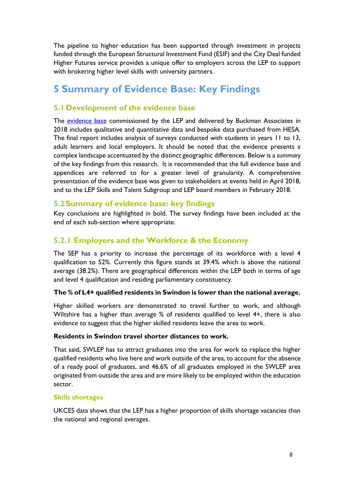The pipeline to higher education has been supported through investment in projects funded through the European Structural Investment Fund (ESIF) and the City Deal funded Higher Futures service provides a unique offer to employers across the LEP to support with brokering higher level skills with university partners.

# <span id="page-8-0"></span>**5 Summary of Evidence Base: Key Findings**

## **5.1 Development of the evidence base**

The **evidence base** commissioned by the LEP and delivered by Buckman Associates in 2018 includes qualitative and quantitative data and bespoke data purchased from HESA. The final report includes analysis of surveys conducted with students in years 11 to 13, adult learners and local employers. It should be noted that the evidence presents a complex landscape accentuated by the distinct geographic differences. Below is a *summary* of the key findings from this research. It is recommended that the full evidence base and appendices are referred to for a greater level of granularity. A comprehensive presentation of the evidence base was given to stakeholders at events held in April 2018, and to the LEP Skills and Talent Subgroup and LEP board members in February 2018.

### **5.2Summary of evidence base: key findings**

Key conclusions are highlighted in bold. The survey findings have been included at the end of each sub-section where appropriate.

# **5.2.1 Employers and the Workforce & the Economy**

The SEP has a priority to increase the percentage of its workforce with a level 4 qualification to 52%. Currently this figure stands at 39.4% which is above the national average (38.2%). There are geographical differences within the LEP both in terms of age and level 4 qualification and residing parliamentary constituency.

### **The % of L4+ qualified residents in Swindon is lower than the national average.**

Higher skilled workers are demonstrated to travel further to work, and although Wiltshire has a higher than average % of residents qualified to level 4+, there is also evidence to suggest that the higher skilled residents leave the area to work.

#### **Residents in Swindon travel shorter distances to work.**

That said, SWLEP has to attract graduates into the area for work to replace the higher qualified residents who live here and work outside of the area, to account for the absence of a ready pool of graduates, and 46.6% of all graduates employed in the SWLEP area originated from outside the area and are more likely to be employed within the education sector.

#### **Skills shortages**

UKCES data shows that the LEP has a higher proportion of skills shortage vacancies than the national and regional averages.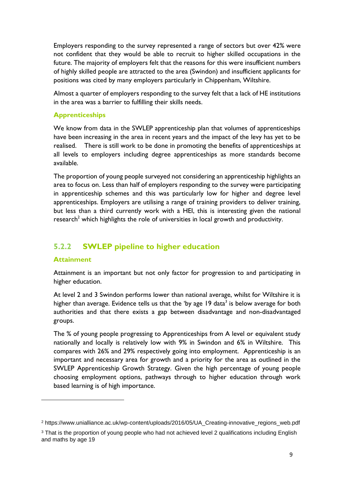Employers responding to the survey represented a range of sectors but over 42% were not confident that they would be able to recruit to higher skilled occupations in the future. The majority of employers felt that the reasons for this were insufficient numbers of highly skilled people are attracted to the area (Swindon) and insufficient applicants for positions was cited by many employers particularly in Chippenham, Wiltshire.

Almost a quarter of employers responding to the survey felt that a lack of HE institutions in the area was a barrier to fulfilling their skills needs.

#### **Apprenticeships**

We know from data in the SWLEP apprenticeship plan that volumes of apprenticeships have been increasing in the area in recent years and the impact of the levy has yet to be realised. There is still work to be done in promoting the benefits of apprenticeships at all levels to employers including degree apprenticeships as more standards become available.

The proportion of young people surveyed not considering an apprenticeship highlights an area to focus on. Less than half of employers responding to the survey were participating in apprenticeship schemes and this was particularly low for higher and degree level apprenticeships. Employers are utilising a range of training providers to deliver training, but less than a third currently work with a HEI, this is interesting given the national research<sup>2</sup> which highlights the role of universities in local growth and productivity.

# **5.2.2 SWLEP pipeline to higher education**

#### **Attainment**

Attainment is an important but not only factor for progression to and participating in higher education.

At level 2 and 3 Swindon performs lower than national average, whilst for Wiltshire it is higher than average. Evidence tells us that the 'by age  $19$  data<sup>3</sup> is below average for both authorities and that there exists a gap between disadvantage and non-disadvantaged groups.

The % of young people progressing to Apprenticeships from A level or equivalent study nationally and locally is relatively low with 9% in Swindon and 6% in Wiltshire. This compares with 26% and 29% respectively going into employment. Apprenticeship is an important and necessary area for growth and a priority for the area as outlined in the SWLEP Apprenticeship Growth Strategy. Given the high percentage of young people choosing employment options, pathways through to higher education through work based learning is of high importance.

<sup>2</sup> https://www.unialliance.ac.uk/wp-content/uploads/2016/05/UA\_Creating-innovative\_regions\_web.pdf

<sup>&</sup>lt;sup>3</sup> That is the proportion of young people who had not achieved level 2 qualifications including English and maths by age 19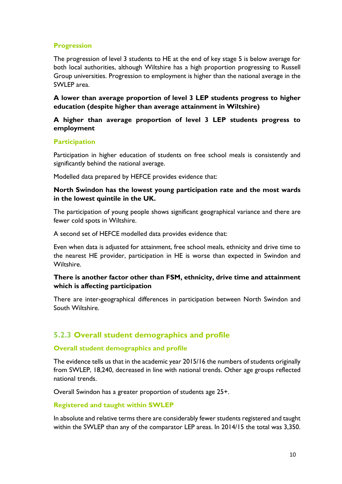#### **Progression**

The progression of level 3 students to HE at the end of key stage 5 is below average for both local authorities, although Wiltshire has a high proportion progressing to Russell Group universities. Progression to employment is higher than the national average in the SWLEP area.

**A lower than average proportion of level 3 LEP students progress to higher education (despite higher than average attainment in Wiltshire)**

#### **A higher than average proportion of level 3 LEP students progress to employment**

#### **Participation**

Participation in higher education of students on free school meals is consistently and significantly behind the national average.

Modelled data prepared by HEFCE provides evidence that:

#### **North Swindon has the lowest young participation rate and the most wards in the lowest quintile in the UK.**

The participation of young people shows significant geographical variance and there are fewer cold spots in Wiltshire.

A second set of HEFCE modelled data provides evidence that:

Even when data is adjusted for attainment, free school meals, ethnicity and drive time to the nearest HE provider, participation in HE is worse than expected in Swindon and Wiltshire.

#### **There is another factor other than FSM, ethnicity, drive time and attainment which is affecting participation**

There are inter-geographical differences in participation between North Swindon and South Wiltshire.

## **5.2.3 Overall student demographics and profile**

#### **Overall student demographics and profile**

The evidence tells us that in the academic year 2015/16 the numbers of students originally from SWLEP, 18,240, decreased in line with national trends. Other age groups reflected national trends.

Overall Swindon has a greater proportion of students age 25+.

#### **Registered and taught within SWLEP**

In absolute and relative terms there are considerably fewer students registered and taught within the SWLEP than any of the comparator LEP areas. In 2014/15 the total was 3,350.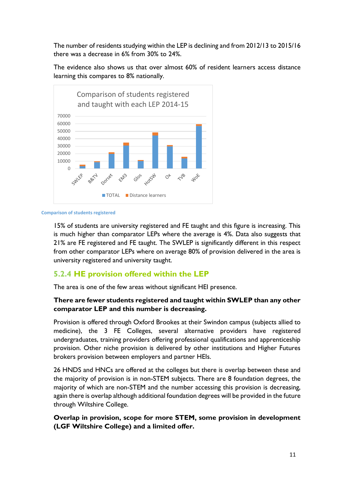The number of residents studying within the LEP is declining and from 2012/13 to 2015/16 there was a decrease in 6% from 30% to 24%.

The evidence also shows us that over almost 60% of resident learners access distance learning this compares to 8% nationally.





15% of students are university registered and FE taught and this figure is increasing. This is much higher than comparator LEPs where the average is 4%. Data also suggests that 21% are FE registered and FE taught. The SWLEP is significantly different in this respect from other comparator LEPs where on average 80% of provision delivered in the area is university registered and university taught.

## **5.2.4 HE provision offered within the LEP**

The area is one of the few areas without significant HEI presence.

#### **There are fewer students registered and taught within SWLEP than any other comparator LEP and this number is decreasing.**

Provision is offered through Oxford Brookes at their Swindon campus (subjects allied to medicine), the 3 FE Colleges, several alternative providers have registered undergraduates, training providers offering professional qualifications and apprenticeship provision. Other niche provision is delivered by other institutions and Higher Futures brokers provision between employers and partner HEIs.

26 HNDS and HNCs are offered at the colleges but there is overlap between these and the majority of provision is in non-STEM subjects. There are 8 foundation degrees, the majority of which are non-STEM and the number accessing this provision is decreasing, again there is overlap although additional foundation degrees will be provided in the future through Wiltshire College.

#### **Overlap in provision, scope for more STEM, some provision in development (LGF Wiltshire College) and a limited offer.**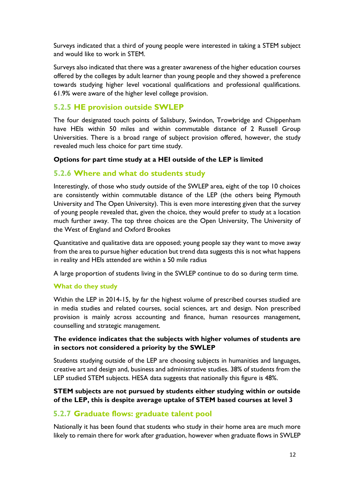Surveys indicated that a third of young people were interested in taking a STEM subject and would like to work in STEM.

Surveys also indicated that there was a greater awareness of the higher education courses offered by the colleges by adult learner than young people and they showed a preference towards studying higher level vocational qualifications and professional qualifications. 61.9% were aware of the higher level college provision.

## **5.2.5 HE provision outside SWLEP**

The four designated touch points of Salisbury, Swindon, Trowbridge and Chippenham have HEIs within 50 miles and within commutable distance of 2 Russell Group Universities. There is a broad range of subject provision offered, however, the study revealed much less choice for part time study.

#### **Options for part time study at a HEI outside of the LEP is limited**

## **5.2.6 Where and what do students study**

Interestingly, of those who study outside of the SWLEP area, eight of the top 10 choices are consistently within commutable distance of the LEP (the others being Plymouth University and The Open University). This is even more interesting given that the survey of young people revealed that, given the choice, they would prefer to study at a location much further away. The top three choices are the Open University, The University of the West of England and Oxford Brookes

Quantitative and qualitative data are opposed; young people say they want to move away from the area to pursue higher education but trend data suggests this is not what happens in reality and HEIs attended are within a 50 mile radius

A large proportion of students living in the SWLEP continue to do so during term time.

#### **What do they study**

Within the LEP in 2014-15, by far the highest volume of prescribed courses studied are in media studies and related courses, social sciences, art and design. Non prescribed provision is mainly across accounting and finance, human resources management, counselling and strategic management.

#### **The evidence indicates that the subjects with higher volumes of students are in sectors not considered a priority by the SWLEP**

Students studying outside of the LEP are choosing subjects in humanities and languages, creative art and design and, business and administrative studies. 38% of students from the LEP studied STEM subjects. HESA data suggests that nationally this figure is 48%.

### **STEM subjects are not pursued by students either studying within or outside of the LEP, this is despite average uptake of STEM based courses at level 3**

## **5.2.7 Graduate flows: graduate talent pool**

Nationally it has been found that students who study in their home area are much more likely to remain there for work after graduation, however when graduate flows in SWLEP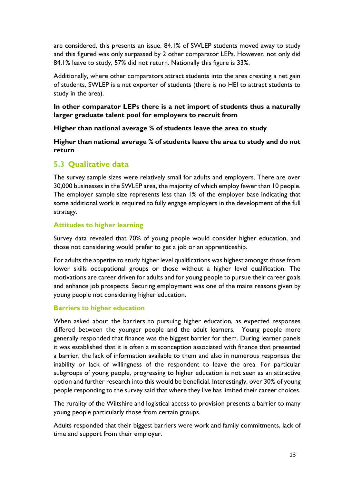are considered, this presents an issue. 84.1% of SWLEP students moved away to study and this figured was only surpassed by 2 other comparator LEPs. However, not only did 84.1% leave to study, 57% did not return. Nationally this figure is 33%.

Additionally, where other comparators attract students into the area creating a net gain of students, SWLEP is a net exporter of students (there is no HEI to attract students to study in the area).

**In other comparator LEPs there is a net import of students thus a naturally larger graduate talent pool for employers to recruit from**

**Higher than national average % of students leave the area to study**

**Higher than national average % of students leave the area to study and do not return**

# **5.3 Qualitative data**

The survey sample sizes were relatively small for adults and employers. There are over 30,000 businesses in the SWLEP area, the majority of which employ fewer than 10 people. The employer sample size represents less than 1% of the employer base indicating that some additional work is required to fully engage employers in the development of the full strategy.

### **Attitudes to higher learning**

Survey data revealed that 70% of young people would consider higher education, and those not considering would prefer to get a job or an apprenticeship.

For adults the appetite to study higher level qualifications was highest amongst those from lower skills occupational groups or those without a higher level qualification. The motivations are career driven for adults and for young people to pursue their career goals and enhance job prospects. Securing employment was one of the mains reasons given by young people not considering higher education.

### **Barriers to higher education**

When asked about the barriers to pursuing higher education, as expected responses differed between the younger people and the adult learners. Young people more generally responded that finance was the biggest barrier for them. During learner panels it was established that it is often a misconception associated with finance that presented a barrier, the lack of information available to them and also in numerous responses the inability or lack of willingness of the respondent to leave the area. For particular subgroups of young people, progressing to higher education is not seen as an attractive option and further research into this would be beneficial. Interestingly, over 30% of young people responding to the survey said that where they live has limited their career choices.

The rurality of the Wiltshire and logistical access to provision presents a barrier to many young people particularly those from certain groups.

Adults responded that their biggest barriers were work and family commitments, lack of time and support from their employer.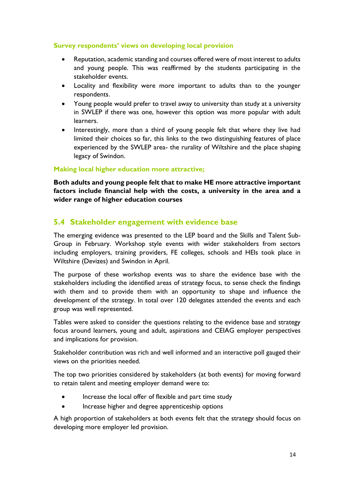#### **Survey respondents' views on developing local provision**

- Reputation, academic standing and courses offered were of most interest to adults and young people. This was reaffirmed by the students participating in the stakeholder events.
- Locality and flexibility were more important to adults than to the younger respondents.
- Young people would prefer to travel away to university than study at a university in SWLEP if there was one, however this option was more popular with adult learners.
- Interestingly, more than a third of young people felt that where they live had limited their choices so far, this links to the two distinguishing features of place experienced by the SWLEP area- the rurality of Wiltshire and the place shaping legacy of Swindon.

#### **Making local higher education more attractive;**

**Both adults and young people felt that to make HE more attractive important factors include financial help with the costs, a university in the area and a wider range of higher education courses**

## **5.4 Stakeholder engagement with evidence base**

The emerging evidence was presented to the LEP board and the Skills and Talent Sub-Group in February. Workshop style events with wider stakeholders from sectors including employers, training providers, FE colleges, schools and HEIs took place in Wiltshire (Devizes) and Swindon in April.

The purpose of these workshop events was to share the evidence base with the stakeholders including the identified areas of strategy focus, to sense check the findings with them and to provide them with an opportunity to shape and influence the development of the strategy. In total over 120 delegates attended the events and each group was well represented.

Tables were asked to consider the questions relating to the evidence base and strategy focus around learners, young and adult, aspirations and CEIAG employer perspectives and implications for provision.

Stakeholder contribution was rich and well informed and an interactive poll gauged their views on the priorities needed.

The top two priorities considered by stakeholders (at both events) for moving forward to retain talent and meeting employer demand were to:

- Increase the local offer of flexible and part time study
- Increase higher and degree apprenticeship options

A high proportion of stakeholders at both events felt that the strategy should focus on developing more employer led provision.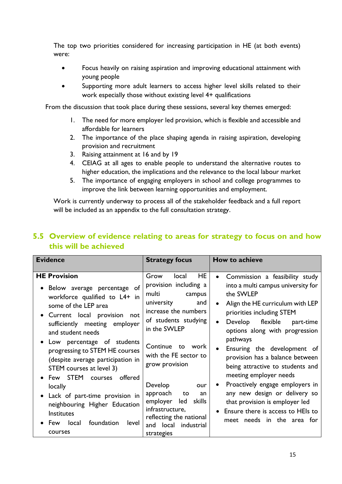The top two priorities considered for increasing participation in HE (at both events) were:

- Focus heavily on raising aspiration and improving educational attainment with young people
- Supporting more adult learners to access higher level skills related to their work especially those without existing level 4+ qualifications

From the discussion that took place during these sessions, several key themes emerged:

- 1. The need for more employer led provision, which is flexible and accessible and affordable for learners
- 2. The importance of the place shaping agenda in raising aspiration, developing provision and recruitment
- 3. Raising attainment at 16 and by 19
- 4. CEIAG at all ages to enable people to understand the alternative routes to higher education, the implications and the relevance to the local labour market
- 5. The importance of engaging employers in school and college programmes to improve the link between learning opportunities and employment.

Work is currently underway to process all of the stakeholder feedback and a full report will be included as an appendix to the full consultation strategy.

# **5.5 Overview of evidence relating to areas for strategy to focus on and how this will be achieved**

| <b>Evidence</b>                                                                                                                                                                                                                                                                                                                                                                                                                                                                                                               | <b>Strategy focus</b>                                                                                                                                                                                                                                                                                                                                                                | How to achieve                                                                                                                                                                                                                                                                                                                                                                                                                                                                                                                                                       |
|-------------------------------------------------------------------------------------------------------------------------------------------------------------------------------------------------------------------------------------------------------------------------------------------------------------------------------------------------------------------------------------------------------------------------------------------------------------------------------------------------------------------------------|--------------------------------------------------------------------------------------------------------------------------------------------------------------------------------------------------------------------------------------------------------------------------------------------------------------------------------------------------------------------------------------|----------------------------------------------------------------------------------------------------------------------------------------------------------------------------------------------------------------------------------------------------------------------------------------------------------------------------------------------------------------------------------------------------------------------------------------------------------------------------------------------------------------------------------------------------------------------|
| <b>HE Provision</b><br>Below average percentage of<br>workforce qualified to L4+ in<br>some of the LEP area<br>Current local provision<br>not<br>sufficiently meeting employer<br>and student needs<br>Low percentage of students<br>progressing to STEM HE courses<br>(despite average participation in<br>STEM courses at level 3)<br>Few STEM<br>offered<br>courses<br>locally<br>• Lack of part-time provision in<br>neighbouring Higher Education<br><b>Institutes</b><br>foundation<br>level<br>local<br>Few<br>courses | HE<br>Grow<br>local<br>provision including a<br>multi<br>campus<br>and<br>university<br>increase the numbers<br>of students studying<br>in the SWLEP<br>Continue to work<br>with the FE sector to<br>grow provision<br>Develop<br>our<br>approach<br>to<br>an<br>employer<br>led<br>skills<br>infrastructure,<br>reflecting the national<br>local<br>industrial<br>and<br>strategies | Commission a feasibility study<br>$\bullet$<br>into a multi campus university for<br>the SWLEP<br>Align the HE curriculum with LEP<br>priorities including STEM<br>Develop flexible<br>$\bullet$<br>part-time<br>options along with progression<br>pathways<br>Ensuring the development of<br>provision has a balance between<br>being attractive to students and<br>meeting employer needs<br>Proactively engage employers in<br>any new design or delivery so<br>that provision is employer led<br>Ensure there is access to HEIs to<br>meet needs in the area for |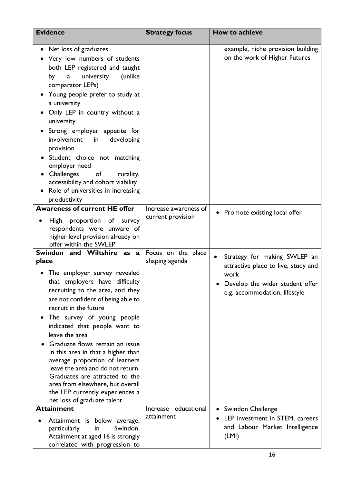| <b>Evidence</b>                                                                                                                                                                                                                                                                                                                                                                                                                                                                                                                                                                     | <b>Strategy focus</b>                      | How to achieve                                                                                                                                  |
|-------------------------------------------------------------------------------------------------------------------------------------------------------------------------------------------------------------------------------------------------------------------------------------------------------------------------------------------------------------------------------------------------------------------------------------------------------------------------------------------------------------------------------------------------------------------------------------|--------------------------------------------|-------------------------------------------------------------------------------------------------------------------------------------------------|
| Net loss of graduates<br>٠<br>Very low numbers of students<br>both LEP registered and taught<br>university<br>(unlike<br>by<br>$\mathbf a$<br>comparator LEPs)<br>Young people prefer to study at<br>a university<br>Only LEP in country without a<br>university<br>Strong employer appetite for<br>involvement<br>developing<br>in<br>provision<br>Student choice not matching<br>employer need<br>Challenges<br>of<br>rurality,<br>accessibility and cohort viability<br>Role of universities in increasing<br>productivity                                                       |                                            | example, niche provision building<br>on the work of Higher Futures                                                                              |
| <b>Awareness of current HE offer</b><br>proportion of survey<br><b>High</b><br>respondents were unware of<br>higher level provision already on<br>offer within the SWLEP                                                                                                                                                                                                                                                                                                                                                                                                            | Increase awareness of<br>current provision | • Promote existing local offer                                                                                                                  |
| Swindon and Wiltshire as<br>a<br>place<br>The employer survey revealed<br>that employers have difficulty<br>recruiting to the area, and they<br>are not confident of being able to<br>recruit in the future<br>The survey of young people<br>indicated that people want to<br>leave the area<br>Graduate flows remain an issue<br>in this area in that a higher than<br>average proportion of learners<br>leave the area and do not return.<br>Graduates are attracted to the<br>area from elsewhere, but overall<br>the LEP currently experiences a<br>net loss of graduate talent | Focus on the place<br>shaping agenda       | Strategy for making SWLEP an<br>attractive place to live, study and<br>work<br>Develop the wider student offer<br>e.g. accommodation, lifestyle |
| <b>Attainment</b><br>Attainment is below average,<br>Swindon.<br>particularly<br>in<br>Attainment at aged 16 is strongly<br>correlated with progression to                                                                                                                                                                                                                                                                                                                                                                                                                          | Increase educational<br>attainment         | • Swindon Challenge<br>LEP investment in STEM, careers<br>and Labour Market Intelligence<br>(LMI)                                               |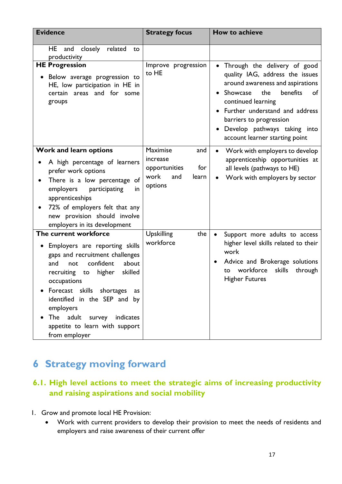| <b>Evidence</b>                                                                                                                                                                                                                                                                                                                                                      | <b>Strategy focus</b>                                                                  | How to achieve                                                                                                                                                                                                                                                                                             |
|----------------------------------------------------------------------------------------------------------------------------------------------------------------------------------------------------------------------------------------------------------------------------------------------------------------------------------------------------------------------|----------------------------------------------------------------------------------------|------------------------------------------------------------------------------------------------------------------------------------------------------------------------------------------------------------------------------------------------------------------------------------------------------------|
| closely<br>related<br>HE<br>and<br>to<br>productivity                                                                                                                                                                                                                                                                                                                |                                                                                        |                                                                                                                                                                                                                                                                                                            |
| <b>HE Progression</b><br>• Below average progression to<br>HE, low participation in HE in<br>areas and for some<br>certain<br>groups                                                                                                                                                                                                                                 | Improve progression<br>to HE                                                           | Through the delivery of good<br>quality IAG, address the issues<br>around awareness and aspirations<br>Showcase<br>benefits<br>the<br>of<br>continued learning<br>Further understand and address<br>barriers to progression<br>Develop pathways taking into<br>$\bullet$<br>account learner starting point |
| Work and learn options<br>A high percentage of learners<br>prefer work options<br>There is a low percentage of<br>٠<br>employers<br>participating<br>in<br>apprenticeships<br>72% of employers felt that any<br>new provision should involve<br>employers in its development                                                                                         | Maximise<br>and<br>increase<br>for<br>opportunities<br>work<br>and<br>learn<br>options | Work with employers to develop<br>$\bullet$<br>apprenticeship opportunities at<br>all levels (pathways to HE)<br>Work with employers by sector                                                                                                                                                             |
| The current workforce<br>Employers are reporting skills<br>$\bullet$<br>gaps and recruitment challenges<br>confident<br>about<br>and<br>not<br>skilled<br>higher<br>recruiting<br>to<br>occupations<br>Forecast skills shortages<br>as<br>identified in the SEP and by<br>employers<br>The adult survey indicates<br>appetite to learn with support<br>from employer | <b>Upskilling</b><br>the<br>workforce                                                  | Support more adults to access<br>$\bullet$<br>higher level skills related to their<br>work<br>Advice and Brokerage solutions<br>$\bullet$<br>workforce<br>skills<br>through<br>to<br><b>Higher Futures</b>                                                                                                 |

# <span id="page-17-0"></span>**6 Strategy moving forward**

# **6.1. High level actions to meet the strategic aims of increasing productivity and raising aspirations and social mobility**

- 1. Grow and promote local HE Provision:
	- Work with current providers to develop their provision to meet the needs of residents and employers and raise awareness of their current offer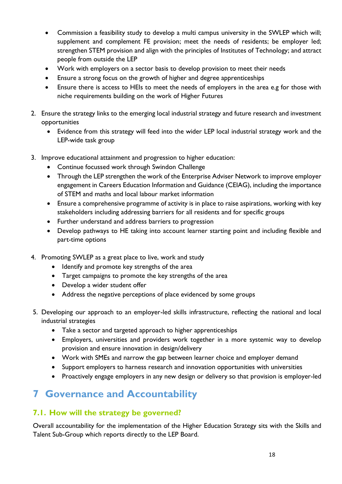- Commission a feasibility study to develop a multi campus university in the SWLEP which will; supplement and complement FE provision; meet the needs of residents; be employer led; strengthen STEM provision and align with the principles of Institutes of Technology; and attract people from outside the LEP
- Work with employers on a sector basis to develop provision to meet their needs
- Ensure a strong focus on the growth of higher and degree apprenticeships
- Ensure there is access to HEIs to meet the needs of employers in the area e.g for those with niche requirements building on the work of Higher Futures
- 2. Ensure the strategy links to the emerging local industrial strategy and future research and investment opportunities
	- Evidence from this strategy will feed into the wider LEP local industrial strategy work and the LEP-wide task group
- 3. Improve educational attainment and progression to higher education:
	- Continue focussed work through Swindon Challenge
	- Through the LEP strengthen the work of the Enterprise Adviser Network to improve employer engagement in Careers Education Information and Guidance (CEIAG), including the importance of STEM and maths and local labour market information
	- Ensure a comprehensive programme of activity is in place to raise aspirations, working with key stakeholders including addressing barriers for all residents and for specific groups
	- Further understand and address barriers to progression
	- Develop pathways to HE taking into account learner starting point and including flexible and part-time options
- 4. Promoting SWLEP as a great place to live, work and study
	- Identify and promote key strengths of the area
	- Target campaigns to promote the key strengths of the area
	- Develop a wider student offer
	- Address the negative perceptions of place evidenced by some groups
- 5. Developing our approach to an employer-led skills infrastructure, reflecting the national and local industrial strategies
	- Take a sector and targeted approach to higher apprenticeships
	- Employers, universities and providers work together in a more systemic way to develop provision and ensure innovation in design/delivery
	- Work with SMEs and narrow the gap between learner choice and employer demand
	- Support employers to harness research and innovation opportunities with universities
	- Proactively engage employers in any new design or delivery so that provision is employer-led

# <span id="page-18-0"></span>**7 Governance and Accountability**

## **7.1. How will the strategy be governed?**

Overall accountability for the implementation of the Higher Education Strategy sits with the Skills and Talent Sub-Group which reports directly to the LEP Board.